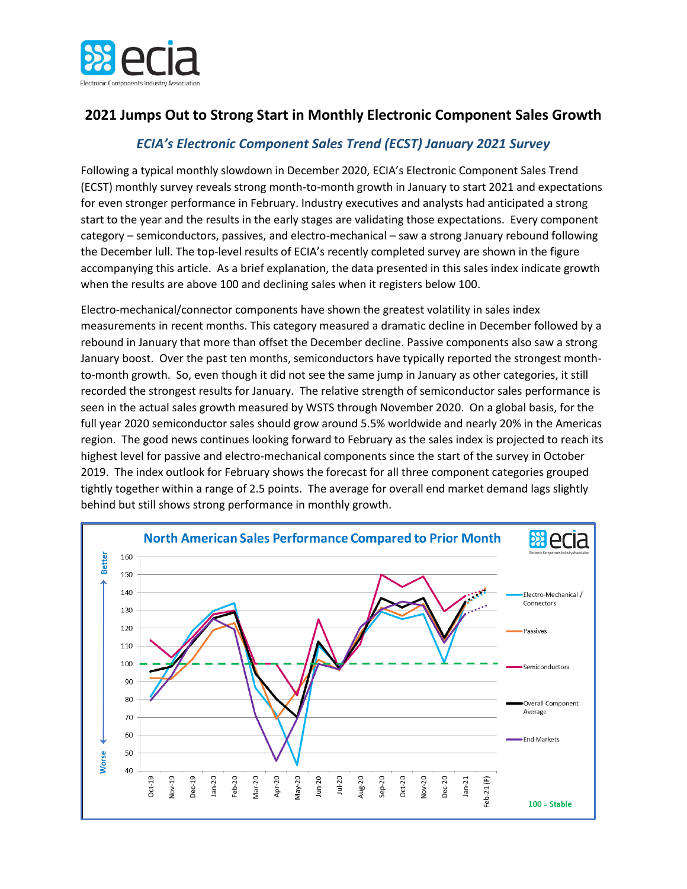

## **2021 Jumps Out to Strong Start in Monthly Electronic Component Sales Growth**

## *ECIA's Electronic Component Sales Trend (ECST) January 2021 Survey*

Following a typical monthly slowdown in December 2020, ECIA's Electronic Component Sales Trend (ECST) monthly survey reveals strong month-to-month growth in January to start 2021 and expectations for even stronger performance in February. Industry executives and analysts had anticipated a strong start to the year and the results in the early stages are validating those expectations. Every component category – semiconductors, passives, and electro-mechanical – saw a strong January rebound following the December lull. The top-level results of ECIA's recently completed survey are shown in the figure accompanying this article. As a brief explanation, the data presented in this sales index indicate growth when the results are above 100 and declining sales when it registers below 100.

Electro-mechanical/connector components have shown the greatest volatility in sales index measurements in recent months. This category measured a dramatic decline in December followed by a rebound in January that more than offset the December decline. Passive components also saw a strong January boost. Over the past ten months, semiconductors have typically reported the strongest monthto-month growth. So, even though it did not see the same jump in January as other categories, it still recorded the strongest results for January. The relative strength of semiconductor sales performance is seen in the actual sales growth measured by WSTS through November 2020. On a global basis, for the full year 2020 semiconductor sales should grow around 5.5% worldwide and nearly 20% in the Americas region. The good news continues looking forward to February as the sales index is projected to reach its highest level for passive and electro-mechanical components since the start of the survey in October 2019. The index outlook for February shows the forecast for all three component categories grouped tightly together within a range of 2.5 points. The average for overall end market demand lags slightly behind but still shows strong performance in monthly growth.